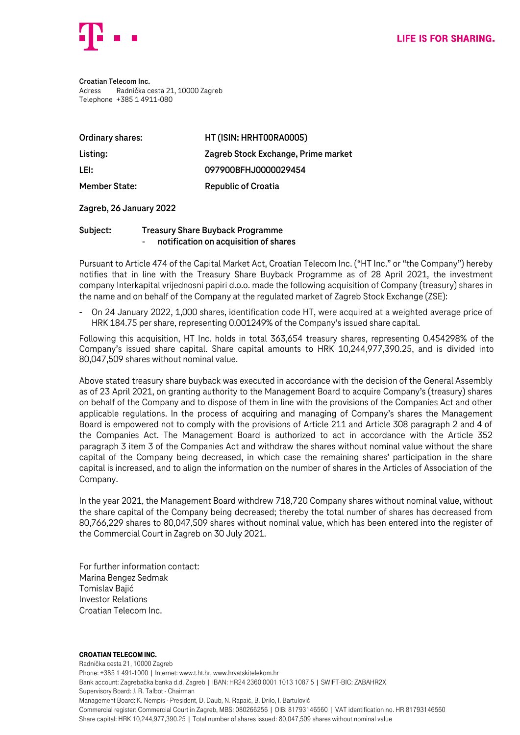

**Croatian Telecom Inc.** Adress Radnička cesta 21, 10000 Zagreb Telephone +385 1 4911-080

| Ordinary shares:     | HT (ISIN: HRHT00RA0005)             |
|----------------------|-------------------------------------|
| Listing:             | Zagreb Stock Exchange, Prime market |
| LEI:                 | 097900BFHJ0000029454                |
| <b>Member State:</b> | <b>Republic of Croatia</b>          |

## **Zagreb, 26 January 2022**

## **Subject: Treasury Share Buyback Programme** - **notification on acquisition of shares**

Pursuant to Article 474 of the Capital Market Act, Croatian Telecom Inc. ("HT Inc." or "the Company") hereby notifies that in line with the Treasury Share Buyback Programme as of 28 April 2021, the investment company Interkapital vrijednosni papiri d.o.o. made the following acquisition of Company (treasury) shares in the name and on behalf of the Company at the regulated market of Zagreb Stock Exchange (ZSE):

- On 24 January 2022, 1,000 shares, identification code HT, were acquired at a weighted average price of HRK 184.75 per share, representing 0.001249% of the Company's issued share capital.

Following this acquisition, HT Inc. holds in total 363,654 treasury shares, representing 0.454298% of the Company's issued share capital. Share capital amounts to HRK 10,244,977,390.25, and is divided into 80,047,509 shares without nominal value.

Above stated treasury share buyback was executed in accordance with the decision of the General Assembly as of 23 April 2021, on granting authority to the Management Board to acquire Company's (treasury) shares on behalf of the Company and to dispose of them in line with the provisions of the Companies Act and other applicable regulations. In the process of acquiring and managing of Company's shares the Management Board is empowered not to comply with the provisions of Article 211 and Article 308 paragraph 2 and 4 of the Companies Act. The Management Board is authorized to act in accordance with the Article 352 paragraph 3 item 3 of the Companies Act and withdraw the shares without nominal value without the share capital of the Company being decreased, in which case the remaining shares' participation in the share capital is increased, and to align the information on the number of shares in the Articles of Association of the Company.

In the year 2021, the Management Board withdrew 718,720 Company shares without nominal value, without the share capital of the Company being decreased; thereby the total number of shares has decreased from 80,766,229 shares to 80,047,509 shares without nominal value, which has been entered into the register of the Commercial Court in Zagreb on 30 July 2021.

For further information contact: Marina Bengez Sedmak Tomislav Bajić Investor Relations Croatian Telecom Inc.

## Croatian Telecom Inc.

Radnička cesta 21, 10000 Zagreb Phone: +385 1 491-1000 | Internet: www.t.ht.hr, www.hrvatskitelekom.hr Bank account: Zagrebačka banka d.d. Zagreb | IBAN: HR24 2360 0001 1013 1087 5 | SWIFT-BIC: ZABAHR2X Supervisory Board: J. R. Talbot - Chairman Management Board: K. Nempis - President, D. Daub, N. Rapaić, B. Drilo, I. Bartulović Commercial register: Commercial Court in Zagreb, MBS: 080266256 | OIB: 81793146560 | VAT identification no. HR 81793146560 Share capital: HRK 10,244,977,390.25 | Total number of shares issued: 80,047,509 shares without nominal value